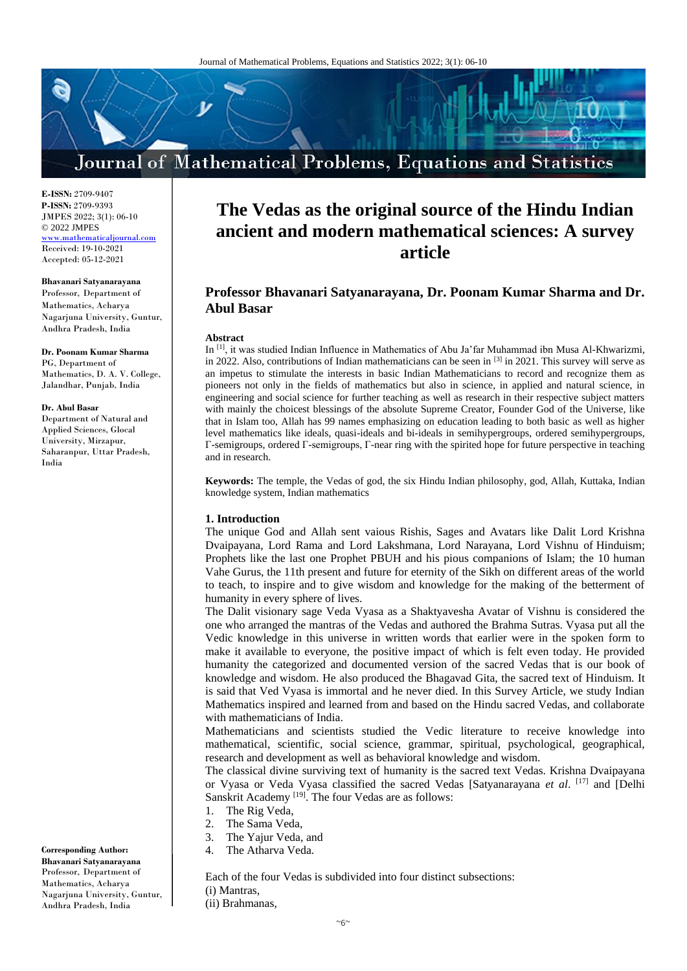# Journal of Mathematical Problems, Equations and Statistics

**E-ISSN:** 2709-9407 **P-ISSN:** 2709-9393 JMPES 2022; 3(1): 06-10 © 2022 JMPES <www.mathematicaljournal.com> Received: 19-10-2021 Accepted: 05-12-2021

#### **Bhavanari Satyanarayana**

Professor, Department of Mathematics, Acharya Nagarjuna University, Guntur, Andhra Pradesh, India

#### **Dr. Poonam Kumar Sharma**

PG, Department of Mathematics, D. A. V. College, Jalandhar, Punjab, India

#### **Dr. Abul Basar**

Department of Natural and Applied Sciences, Glocal University, Mirzapur, Saharanpur, Uttar Pradesh, India

**Corresponding Author:**

**Bhavanari Satyanarayana**  Professor, Department of Mathematics, Acharya Nagarjuna University, Guntur, Andhra Pradesh, India

## **The Vedas as the original source of the Hindu Indian ancient and modern mathematical sciences: A survey article**

### **Professor Bhavanari Satyanarayana, Dr. Poonam Kumar Sharma and Dr. Abul Basar**

#### **Abstract**

In [1], it was studied Indian Influence in Mathematics of Abu Ja'far Muhammad ibn Musa Al-Khwarizmi, in 2022. Also, contributions of Indian mathematicians can be seen in  $^{[3]}$  in 2021. This survey will serve as an impetus to stimulate the interests in basic Indian Mathematicians to record and recognize them as pioneers not only in the fields of mathematics but also in science, in applied and natural science, in engineering and social science for further teaching as well as research in their respective subject matters with mainly the choicest blessings of the absolute Supreme Creator, Founder God of the Universe, like that in Islam too, Allah has 99 names emphasizing on education leading to both basic as well as higher level mathematics like ideals, quasi-ideals and bi-ideals in semihypergroups, ordered semihypergroups, Γ-semigroups, ordered Γ-semigroups, Γ-near ring with the spirited hope for future perspective in teaching and in research.

**Keywords:** The temple, the Vedas of god, the six Hindu Indian philosophy, god, Allah, Kuttaka, Indian knowledge system, Indian mathematics

#### **1. Introduction**

The unique God and Allah sent vaious Rishis, Sages and Avatars like Dalit Lord Krishna Dvaipayana, Lord Rama and Lord Lakshmana, Lord Narayana, Lord Vishnu of Hinduism; Prophets like the last one Prophet PBUH and his pious companions of Islam; the 10 human Vahe Gurus, the 11th present and future for eternity of the Sikh on different areas of the world to teach, to inspire and to give wisdom and knowledge for the making of the betterment of humanity in every sphere of lives.

The Dalit visionary sage Veda Vyasa as a Shaktyavesha Avatar of Vishnu is considered the one who arranged the mantras of the Vedas and authored the Brahma Sutras. Vyasa put all the Vedic knowledge in this universe in written words that earlier were in the spoken form to make it available to everyone, the positive impact of which is felt even today. He provided humanity the categorized and documented version of the sacred Vedas that is our book of knowledge and wisdom. He also produced the Bhagavad Gita, the sacred text of Hinduism. It is said that Ved Vyasa is immortal and he never died. In this Survey Article, we study Indian Mathematics inspired and learned from and based on the Hindu sacred Vedas, and collaborate with mathematicians of India.

Mathematicians and scientists studied the Vedic literature to receive knowledge into mathematical, scientific, social science, grammar, spiritual, psychological, geographical, research and development as well as behavioral knowledge and wisdom.

The classical divine surviving text of humanity is the sacred text Vedas. Krishna Dvaipayana or Vyasa or Veda Vyasa classified the sacred Vedas [Satyanarayana *et al*. [17] and [Delhi Sanskrit Academy [19]. The four Vedas are as follows:

- 1. The Rig Veda,
- 2. The Sama Veda,
- 3. The Yajur Veda, and
- 4. The Atharva Veda.

Each of the four Vedas is subdivided into four distinct subsections: (i) Mantras, (ii) Brahmanas,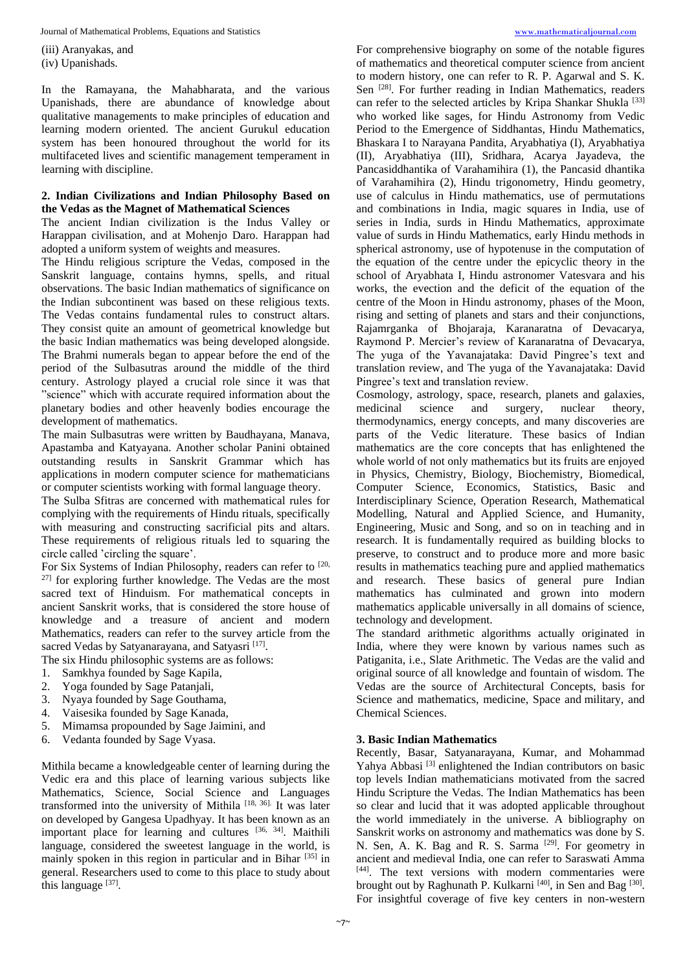Journal of Mathematical Problems, Equations and Statistics [www.mathematicaljournal.com](file://server/test/mathematicaljournal.com/issue/1%20Vol/1%20issue/www.mathematicaljournal.com)

(iii) Aranyakas, and (iv) Upanishads.

In the Ramayana, the Mahabharata, and the various Upanishads, there are abundance of knowledge about qualitative managements to make principles of education and learning modern oriented. The ancient Gurukul education system has been honoured throughout the world for its multifaceted lives and scientific management temperament in learning with discipline.

#### **2. Indian Civilizations and Indian Philosophy Based on the Vedas as the Magnet of Mathematical Sciences**

The ancient Indian civilization is the Indus Valley or Harappan civilisation, and at Mohenjo Daro. Harappan had adopted a uniform system of weights and measures.

The Hindu religious scripture the Vedas, composed in the Sanskrit language, contains hymns, spells, and ritual observations. The basic Indian mathematics of significance on the Indian subcontinent was based on these religious texts. The Vedas contains fundamental rules to construct altars. They consist quite an amount of geometrical knowledge but the basic Indian mathematics was being developed alongside. The Brahmi numerals began to appear before the end of the period of the Sulbasutras around the middle of the third century. Astrology played a crucial role since it was that "science" which with accurate required information about the planetary bodies and other heavenly bodies encourage the development of mathematics.

The main Sulbasutras were written by Baudhayana, Manava, Apastamba and Katyayana. Another scholar Panini obtained outstanding results in Sanskrit Grammar which has applications in modern computer science for mathematicians or computer scientists working with formal language theory.

The Sulba Sfitras are concerned with mathematical rules for complying with the requirements of Hindu rituals, specifically with measuring and constructing sacrificial pits and altars. These requirements of religious rituals led to squaring the circle called 'circling the square'.

For Six Systems of Indian Philosophy, readers can refer to [20, 27] for exploring further knowledge. The Vedas are the most sacred text of Hinduism. For mathematical concepts in ancient Sanskrit works, that is considered the store house of knowledge and a treasure of ancient and modern Mathematics, readers can refer to the survey article from the sacred Vedas by Satyanarayana, and Satyasri<sup>[17]</sup>.

The six Hindu philosophic systems are as follows:

- 1. Samkhya founded by Sage Kapila,
- 2. Yoga founded by Sage Patanjali,
- 3. Nyaya founded by Sage Gouthama,
- 4. Vaisesika founded by Sage Kanada,
- 5. Mimamsa propounded by Sage Jaimini, and
- 6. Vedanta founded by Sage Vyasa.

Mithila became a knowledgeable center of learning during the Vedic era and this place of learning various subjects like Mathematics, Science, Social Science and Languages transformed into the university of Mithila  $[18, 36]$ . It was later on developed by Gangesa Upadhyay. It has been known as an important place for learning and cultures [36, 34]. Maithili language, considered the sweetest language in the world, is mainly spoken in this region in particular and in Bihar [35] in general. Researchers used to come to this place to study about this language [37].

For comprehensive biography on some of the notable figures of mathematics and theoretical computer science from ancient to modern history, one can refer to R. P. Agarwal and S. K. Sen <sup>[28]</sup>. For further reading in Indian Mathematics, readers can refer to the selected articles by Kripa Shankar Shukla<sup>[33]</sup> who worked like sages, for Hindu Astronomy from Vedic Period to the Emergence of Siddhantas, Hindu Mathematics, Bhaskara I to Narayana Pandita, Aryabhatiya (I), Aryabhatiya (II), Aryabhatiya (III), Sridhara, Acarya Jayadeva, the Pancasiddhantika of Varahamihira (1), the Pancasid dhantika of Varahamihira (2), Hindu trigonometry, Hindu geometry, use of calculus in Hindu mathematics, use of permutations and combinations in India, magic squares in India, use of series in India, surds in Hindu Mathematics, approximate value of surds in Hindu Mathematics, early Hindu methods in spherical astronomy, use of hypotenuse in the computation of the equation of the centre under the epicyclic theory in the school of Aryabhata I, Hindu astronomer Vatesvara and his works, the evection and the deficit of the equation of the centre of the Moon in Hindu astronomy, phases of the Moon, rising and setting of planets and stars and their conjunctions, Rajamrganka of Bhojaraja, Karanaratna of Devacarya, Raymond P. Mercier's review of Karanaratna of Devacarya, The yuga of the Yavanajataka: David Pingree's text and translation review, and The yuga of the Yavanajataka: David Pingree's text and translation review.

Cosmology, astrology, space, research, planets and galaxies, medicinal science and surgery, nuclear theory, thermodynamics, energy concepts, and many discoveries are parts of the Vedic literature. These basics of Indian mathematics are the core concepts that has enlightened the whole world of not only mathematics but its fruits are enjoyed in Physics, Chemistry, Biology, Biochemistry, Biomedical, Computer Science, Economics, Statistics, Basic and Interdisciplinary Science, Operation Research, Mathematical Modelling, Natural and Applied Science, and Humanity, Engineering, Music and Song, and so on in teaching and in research. It is fundamentally required as building blocks to preserve, to construct and to produce more and more basic results in mathematics teaching pure and applied mathematics and research. These basics of general pure Indian mathematics has culminated and grown into modern mathematics applicable universally in all domains of science, technology and development.

The standard arithmetic algorithms actually originated in India, where they were known by various names such as Patiganita, i.e., Slate Arithmetic. The Vedas are the valid and original source of all knowledge and fountain of wisdom. The Vedas are the source of Architectural Concepts, basis for Science and mathematics, medicine, Space and military, and Chemical Sciences.

#### **3. Basic Indian Mathematics**

Recently, Basar, Satyanarayana, Kumar, and Mohammad Yahya Abbasi<sup>[3]</sup> enlightened the Indian contributors on basic top levels Indian mathematicians motivated from the sacred Hindu Scripture the Vedas. The Indian Mathematics has been so clear and lucid that it was adopted applicable throughout the world immediately in the universe. A bibliography on Sanskrit works on astronomy and mathematics was done by S. N. Sen, A. K. Bag and R. S. Sarma<sup>[29]</sup>. For geometry in ancient and medieval India, one can refer to Saraswati Amma [44]. The text versions with modern commentaries were brought out by Raghunath P. Kulkarni<sup>[40]</sup>, in Sen and Bag<sup>[30]</sup>. For insightful coverage of five key centers in non-western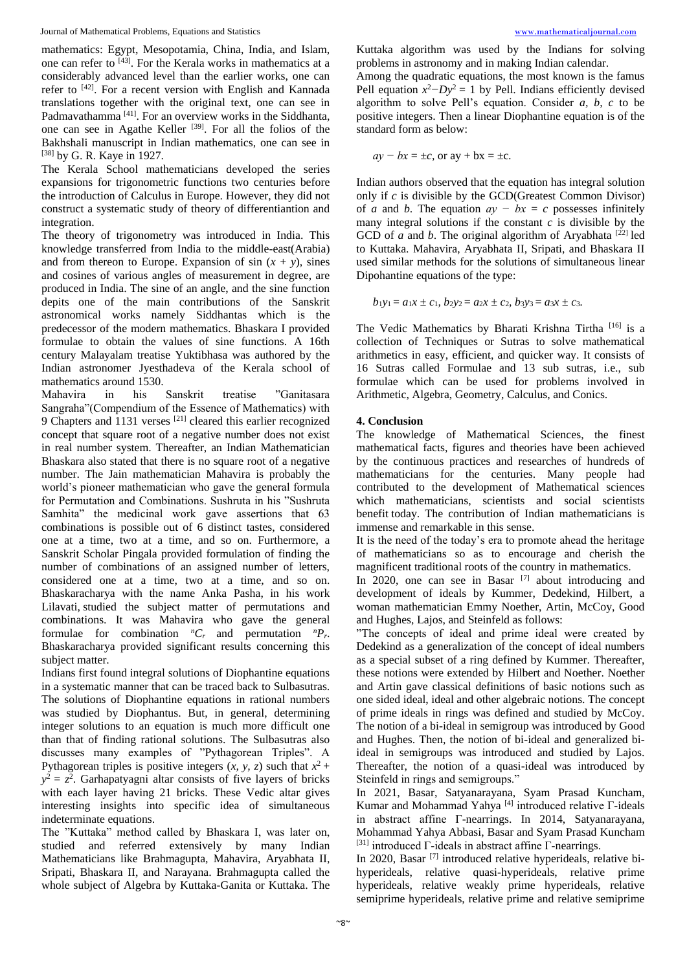mathematics: Egypt, Mesopotamia, China, India, and Islam, one can refer to  $\overline{[43]}$ . For the Kerala works in mathematics at a considerably advanced level than the earlier works, one can refer to [42]. For a recent version with English and Kannada translations together with the original text, one can see in Padmavathamma [41]. For an overview works in the Siddhanta, one can see in Agathe Keller<sup>[39]</sup>. For all the folios of the Bakhshali manuscript in Indian mathematics, one can see in [38] by G. R. Kaye in 1927.

The Kerala School mathematicians developed the series expansions for trigonometric functions two centuries before the introduction of Calculus in Europe. However, they did not construct a systematic study of theory of differentiantion and integration.

The theory of trigonometry was introduced in India. This knowledge transferred from India to the middle-east(Arabia) and from thereon to Europe. Expansion of sin  $(x + y)$ , sines and cosines of various angles of measurement in degree, are produced in India. The sine of an angle, and the sine function depits one of the main contributions of the Sanskrit astronomical works namely Siddhantas which is the predecessor of the modern mathematics. Bhaskara I provided formulae to obtain the values of sine functions. A 16th century Malayalam treatise Yuktibhasa was authored by the Indian astronomer Jyesthadeva of the Kerala school of mathematics around 1530.

Mahavira in his Sanskrit treatise "Ganitasara Sangraha"(Compendium of the Essence of Mathematics) with 9 Chapters and 1131 verses [21] cleared this earlier recognized concept that square root of a negative number does not exist in real number system. Thereafter, an Indian Mathematician Bhaskara also stated that there is no square root of a negative number. The Jain mathematician Mahavira is probably the world's pioneer mathematician who gave the general formula for Permutation and Combinations. Sushruta in his "Sushruta Samhita" the medicinal work gave assertions that 63 combinations is possible out of 6 distinct tastes, considered one at a time, two at a time, and so on. Furthermore, a Sanskrit Scholar Pingala provided formulation of finding the number of combinations of an assigned number of letters, considered one at a time, two at a time, and so on. Bhaskaracharya with the name Anka Pasha, in his work Lilavati, studied the subject matter of permutations and combinations. It was Mahavira who gave the general formulae for combination  ${}^nC_r$  and permutation  ${}^nP_r$ . Bhaskaracharya provided significant results concerning this subject matter.

Indians first found integral solutions of Diophantine equations in a systematic manner that can be traced back to Sulbasutras. The solutions of Diophantine equations in rational numbers was studied by Diophantus. But, in general, determining integer solutions to an equation is much more difficult one than that of finding rational solutions. The Sulbasutras also discusses many examples of "Pythagorean Triples". A Pythagorean triples is positive integers  $(x, y, z)$  such that  $x^2 +$  $y^2 = z^2$ . Garhapatyagni altar consists of five layers of bricks with each layer having 21 bricks. These Vedic altar gives interesting insights into specific idea of simultaneous indeterminate equations.

The "Kuttaka" method called by Bhaskara I, was later on, studied and referred extensively by many Indian Mathematicians like Brahmagupta, Mahavira, Aryabhata II, Sripati, Bhaskara II, and Narayana. Brahmagupta called the whole subject of Algebra by Kuttaka-Ganita or Kuttaka. The

Kuttaka algorithm was used by the Indians for solving problems in astronomy and in making Indian calendar.

Among the quadratic equations, the most known is the famus Pell equation  $x^2 - Dy^2 = 1$  by Pell. Indians efficiently devised algorithm to solve Pell's equation. Consider *a, b, c* to be positive integers. Then a linear Diophantine equation is of the standard form as below:

$$
ay - bx = \pm c
$$
, or  $ay + bx = \pm c$ .

Indian authors observed that the equation has integral solution only if *c* is divisible by the GCD(Greatest Common Divisor) of *a* and *b*. The equation  $ay - bx = c$  possesses infinitely many integral solutions if the constant *c* is divisible by the GCD of *a* and *b*. The original algorithm of Aryabhata  $[22]$  led to Kuttaka. Mahavira, Aryabhata II, Sripati, and Bhaskara II used similar methods for the solutions of simultaneous linear Dipohantine equations of the type:

$$
b_1y_1 = a_1x \pm c_1, b_2y_2 = a_2x \pm c_2, b_3y_3 = a_3x \pm c_3.
$$

The Vedic Mathematics by Bharati Krishna Tirtha [16] is a collection of Techniques or Sutras to solve mathematical arithmetics in easy, efficient, and quicker way. It consists of 16 Sutras called Formulae and 13 sub sutras, i.e., sub formulae which can be used for problems involved in Arithmetic, Algebra, Geometry, Calculus, and Conics.

#### **4. Conclusion**

The knowledge of Mathematical Sciences, the finest mathematical facts, figures and theories have been achieved by the continuous practices and researches of hundreds of mathematicians for the centuries. Many people had contributed to the development of Mathematical sciences which mathematicians, scientists and social scientists benefit today. The contribution of Indian mathematicians is immense and remarkable in this sense.

It is the need of the today's era to promote ahead the heritage of mathematicians so as to encourage and cherish the magnificent traditional roots of the country in mathematics.

In 2020, one can see in Basar <sup>[7]</sup> about introducing and development of ideals by Kummer, Dedekind, Hilbert, a woman mathematician Emmy Noether, Artin, McCoy, Good and Hughes, Lajos, and Steinfeld as follows:

"The concepts of ideal and prime ideal were created by Dedekind as a generalization of the concept of ideal numbers as a special subset of a ring defined by Kummer. Thereafter, these notions were extended by Hilbert and Noether. Noether and Artin gave classical definitions of basic notions such as one sided ideal, ideal and other algebraic notions. The concept of prime ideals in rings was defined and studied by McCoy. The notion of a bi-ideal in semigroup was introduced by Good and Hughes. Then, the notion of bi-ideal and generalized biideal in semigroups was introduced and studied by Lajos. Thereafter, the notion of a quasi-ideal was introduced by Steinfeld in rings and semigroups."

In 2021, Basar, Satyanarayana, Syam Prasad Kuncham, Kumar and Mohammad Yahya  $[4]$  introduced relative  $\Gamma$ -ideals in abstract affine Γ-nearrings. In 2014, Satyanarayana, Mohammad Yahya Abbasi, Basar and Syam Prasad Kuncham [31] introduced Γ-ideals in abstract affine Γ-nearrings.

In 2020, Basar<sup>[7]</sup> introduced relative hyperideals, relative bihyperideals, relative quasi-hyperideals, relative prime hyperideals, relative weakly prime hyperideals, relative semiprime hyperideals, relative prime and relative semiprime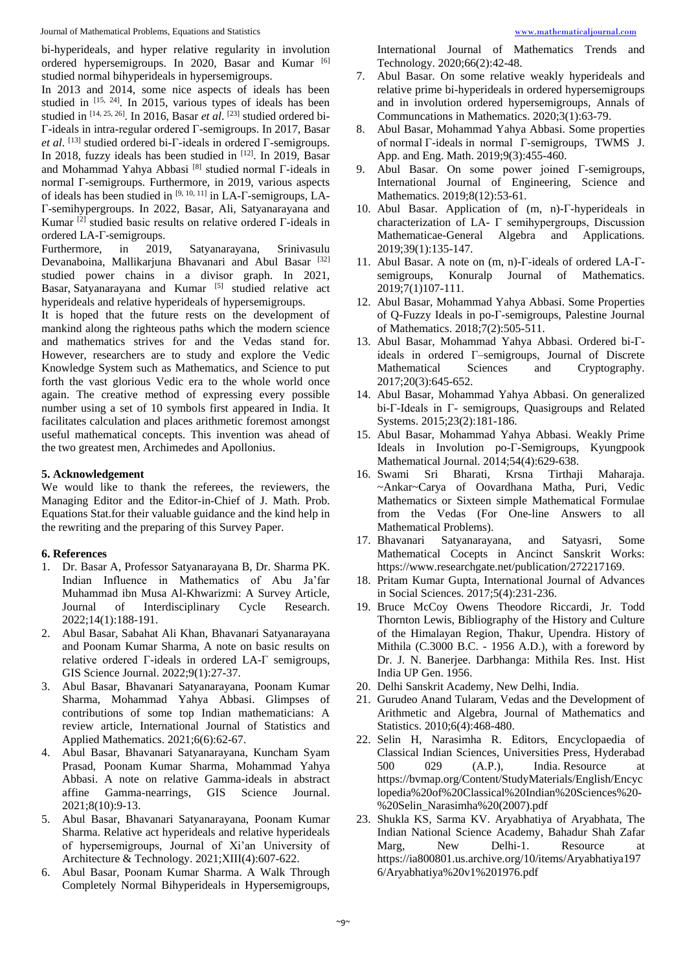bi-hyperideals, and hyper relative regularity in involution ordered hypersemigroups. In 2020, Basar and Kumar [6] studied normal bihyperideals in hypersemigroups.

In 2013 and 2014, some nice aspects of ideals has been studied in  $[15, 24]$ . In 2015, various types of ideals has been studied in [14, 25, 26]. In 2016, Basar *et al.* [23] studied ordered bi-Γ-ideals in intra-regular ordered Γ-semigroups. In 2017, Basar *et al*. [13] studied ordered bi-Γ-ideals in ordered Γ-semigroups. In 2018, fuzzy ideals has been studied in [12]. In 2019, Basar and Mohammad Yahya Abbasi [8] studied normal Γ-ideals in normal Γ-semigroups. Furthermore, in 2019, various aspects of ideals has been studied in [9, 10, 11] in LA-Γ-semigroups, LA-Γ-semihypergroups. In 2022, Basar, Ali, Satyanarayana and Kumar [2] studied basic results on relative ordered Γ-ideals in ordered LA-Γ-semigroups.

Furthermore, in 2019, Satyanarayana, Srinivasulu Devanaboina, Mallikariuna Bhavanari and Abul Basar [32] studied power chains in a divisor graph. In 2021, Basar, Satyanarayana and Kumar [5] studied relative act hyperideals and relative hyperideals of hypersemigroups.

It is hoped that the future rests on the development of mankind along the righteous paths which the modern science and mathematics strives for and the Vedas stand for. However, researchers are to study and explore the Vedic Knowledge System such as Mathematics, and Science to put forth the vast glorious Vedic era to the whole world once again. The creative method of expressing every possible number using a set of 10 symbols first appeared in India. It facilitates calculation and places arithmetic foremost amongst useful mathematical concepts. This invention was ahead of the two greatest men, Archimedes and Apollonius.

#### **5. Acknowledgement**

We would like to thank the referees, the reviewers, the Managing Editor and the Editor-in-Chief of J. Math. Prob. Equations Stat.for their valuable guidance and the kind help in the rewriting and the preparing of this Survey Paper.

#### **6. References**

- 1. Dr. Basar A, Professor Satyanarayana B, Dr. Sharma PK. Indian Influence in Mathematics of Abu Ja'far Muhammad ibn Musa Al-Khwarizmi: A Survey Article, Journal of Interdisciplinary Cycle Research. 2022;14(1):188-191.
- 2. Abul Basar, Sabahat Ali Khan, Bhavanari Satyanarayana and Poonam Kumar Sharma, A note on basic results on relative ordered Γ-ideals in ordered LA-Γ semigroups, GIS Science Journal. 2022;9(1):27-37.
- 3. Abul Basar, Bhavanari Satyanarayana, Poonam Kumar Sharma, Mohammad Yahya Abbasi. Glimpses of contributions of some top Indian mathematicians: A review article, International Journal of Statistics and Applied Mathematics. 2021;6(6):62-67.
- 4. Abul Basar, Bhavanari Satyanarayana, Kuncham Syam Prasad, Poonam Kumar Sharma, Mohammad Yahya Abbasi. A note on relative Gamma-ideals in abstract affine Gamma-nearrings, GIS Science Journal. 2021;8(10):9-13.
- 5. Abul Basar, Bhavanari Satyanarayana, Poonam Kumar Sharma. Relative act hyperideals and relative hyperideals of hypersemigroups, Journal of Xi'an University of Architecture & Technology. 2021;XIII(4):607-622.
- 6. Abul Basar, Poonam Kumar Sharma. A Walk Through Completely Normal Bihyperideals in Hypersemigroups,

International Journal of Mathematics Trends and Technology. 2020;66(2):42-48.

- 7. Abul Basar. On some relative weakly hyperideals and relative prime bi-hyperideals in ordered hypersemigroups and in involution ordered hypersemigroups, Annals of Communcations in Mathematics. 2020;3(1):63-79.
- 8. Abul Basar, Mohammad Yahya Abbasi. Some properties of normal Γ-ideals in normal Γ-semigroups, TWMS J. App. and Eng. Math. 2019;9(3):455-460.
- 9. Abul Basar. On some power joined Γ-semigroups, International Journal of Engineering, Science and Mathematics. 2019;8(12):53-61.
- 10. Abul Basar. Application of (m, n)-Γ-hyperideals in characterization of LA-  $\Gamma$  semihypergroups, Discussion Mathematicae-General Algebra and Applications. 2019;39(1):135-147.
- 11. Abul Basar. A note on (m, n)-Γ-ideals of ordered LA-Γsemigroups, Konuralp Journal of Mathematics. 2019;7(1)107-111.
- 12. Abul Basar, Mohammad Yahya Abbasi. Some Properties of Q-Fuzzy Ideals in po-Γ-semigroups, Palestine Journal of Mathematics. 2018;7(2):505-511.
- 13. Abul Basar, Mohammad Yahya Abbasi. Ordered bi-Γideals in ordered Γ–semigroups, Journal of Discrete Mathematical Sciences and Cryptography. 2017;20(3):645-652.
- 14. Abul Basar, Mohammad Yahya Abbasi. On generalized bi-Γ-Ideals in Γ- semigroups, Quasigroups and Related Systems. 2015;23(2):181-186.
- 15. Abul Basar, Mohammad Yahya Abbasi. Weakly Prime Ideals in Involution po-Γ-Semigroups, Kyungpook Mathematical Journal. 2014;54(4):629-638.
- 16. Swami Sri Bharati, Krsna Tirthaji Maharaja. ~Ankar~Carya of Oovardhana Matha, Puri, Vedic Mathematics or Sixteen simple Mathematical Formulae from the Vedas (For One-line Answers to all Mathematical Problems).
- 17. Bhavanari Satyanarayana, and Satyasri, Some Mathematical Cocepts in Ancinct Sanskrit Works: https://www.researchgate.net/publication/272217169.
- 18. Pritam Kumar Gupta, International Journal of Advances in Social Sciences. 2017;5(4):231-236.
- 19. Bruce McCoy Owens Theodore Riccardi, Jr. Todd Thornton Lewis, Bibliography of the History and Culture of the Himalayan Region, Thakur, Upendra. History of Mithila (C.3000 B.C. - 1956 A.D.), with a foreword by Dr. J. N. Banerjee. Darbhanga: Mithila Res. Inst. Hist India UP Gen. 1956.
- 20. Delhi Sanskrit Academy, New Delhi, India.
- 21. Gurudeo Anand Tularam, Vedas and the Development of Arithmetic and Algebra, Journal of Mathematics and Statistics. 2010;6(4):468-480.
- 22. Selin H, Narasimha R. Editors, Encyclopaedia of Classical Indian Sciences, Universities Press, Hyderabad 500 029 (A.P.), India. Resource at https://bvmap.org/Content/StudyMaterials/English/Encyc lopedia%20of%20Classical%20Indian%20Sciences%20- %20Selin\_Narasimha%20(2007).pdf
- 23. Shukla KS, Sarma KV. Aryabhatiya of Aryabhata, The Indian National Science Academy, Bahadur Shah Zafar Marg, New Delhi-1. Resource at https://ia800801.us.archive.org/10/items/Aryabhatiya197 6/Aryabhatiya%20v1%201976.pdf